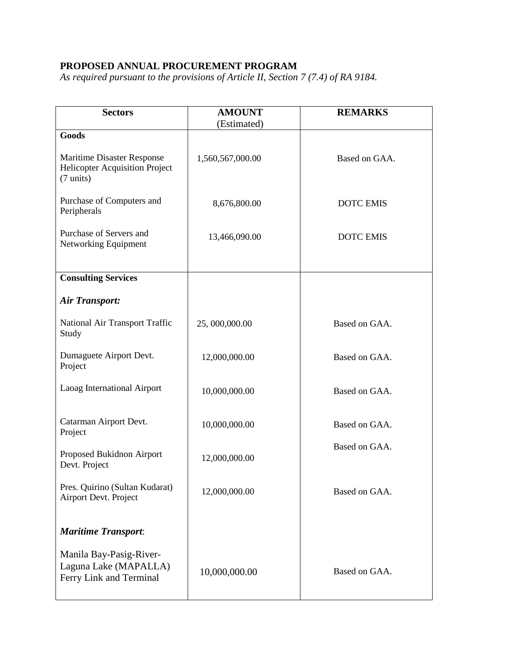## **PROPOSED ANNUAL PROCUREMENT PROGRAM**

*As required pursuant to the provisions of Article II, Section 7 (7.4) of RA 9184.* 

| <b>Sectors</b>                                                                                    | <b>AMOUNT</b><br>(Estimated) | <b>REMARKS</b>   |
|---------------------------------------------------------------------------------------------------|------------------------------|------------------|
| Goods                                                                                             |                              |                  |
| <b>Maritime Disaster Response</b><br><b>Helicopter Acquisition Project</b><br>$(7 \text{ units})$ | 1,560,567,000.00             | Based on GAA.    |
| Purchase of Computers and<br>Peripherals                                                          | 8,676,800.00                 | <b>DOTC EMIS</b> |
| Purchase of Servers and<br>Networking Equipment                                                   | 13,466,090.00                | <b>DOTC EMIS</b> |
| <b>Consulting Services</b>                                                                        |                              |                  |
| <b>Air Transport:</b>                                                                             |                              |                  |
| National Air Transport Traffic<br>Study                                                           | 25,000,000.00                | Based on GAA.    |
| Dumaguete Airport Devt.<br>Project                                                                | 12,000,000.00                | Based on GAA.    |
| Laoag International Airport                                                                       | 10,000,000.00                | Based on GAA.    |
| Catarman Airport Devt.<br>Project                                                                 | 10,000,000.00                | Based on GAA.    |
| Proposed Bukidnon Airport<br>Devt. Project                                                        | 12,000,000.00                | Based on GAA.    |
| Pres. Quirino (Sultan Kudarat)<br>Airport Devt. Project                                           | 12,000,000.00                | Based on GAA.    |
| <b>Maritime Transport:</b>                                                                        |                              |                  |
| Manila Bay-Pasig-River-<br>Laguna Lake (MAPALLA)<br>Ferry Link and Terminal                       | 10,000,000.00                | Based on GAA.    |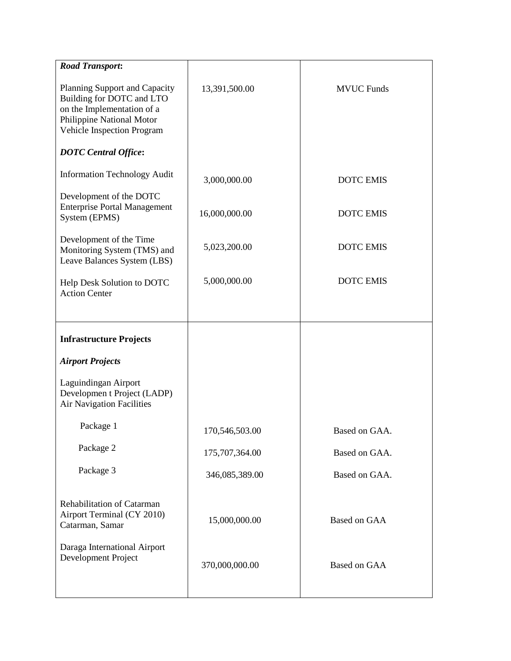| <b>Road Transport:</b>                                                                                                                              |                |                   |
|-----------------------------------------------------------------------------------------------------------------------------------------------------|----------------|-------------------|
| Planning Support and Capacity<br>Building for DOTC and LTO<br>on the Implementation of a<br>Philippine National Motor<br>Vehicle Inspection Program | 13,391,500.00  | <b>MVUC Funds</b> |
| <b>DOTC</b> Central Office:                                                                                                                         |                |                   |
| <b>Information Technology Audit</b>                                                                                                                 | 3,000,000.00   | <b>DOTC EMIS</b>  |
| Development of the DOTC<br><b>Enterprise Portal Management</b><br>System (EPMS)                                                                     | 16,000,000.00  | <b>DOTC EMIS</b>  |
| Development of the Time<br>Monitoring System (TMS) and<br>Leave Balances System (LBS)                                                               | 5,023,200.00   | <b>DOTC EMIS</b>  |
| Help Desk Solution to DOTC<br><b>Action Center</b>                                                                                                  | 5,000,000.00   | <b>DOTC EMIS</b>  |
|                                                                                                                                                     |                |                   |
| <b>Infrastructure Projects</b>                                                                                                                      |                |                   |
| <b>Airport Projects</b>                                                                                                                             |                |                   |
| Laguindingan Airport<br>Developmen t Project (LADP)<br>Air Navigation Facilities                                                                    |                |                   |
| Package 1                                                                                                                                           | 170,546,503.00 | Based on GAA      |
|                                                                                                                                                     |                |                   |
| Package 2                                                                                                                                           | 175,707,364.00 | Based on GAA.     |
| Package 3                                                                                                                                           | 346,085,389.00 | Based on GAA.     |
| Rehabilitation of Catarman<br>Airport Terminal (CY 2010)<br>Catarman, Samar                                                                         | 15,000,000.00  | Based on GAA      |
| Daraga International Airport<br>Development Project                                                                                                 | 370,000,000.00 | Based on GAA      |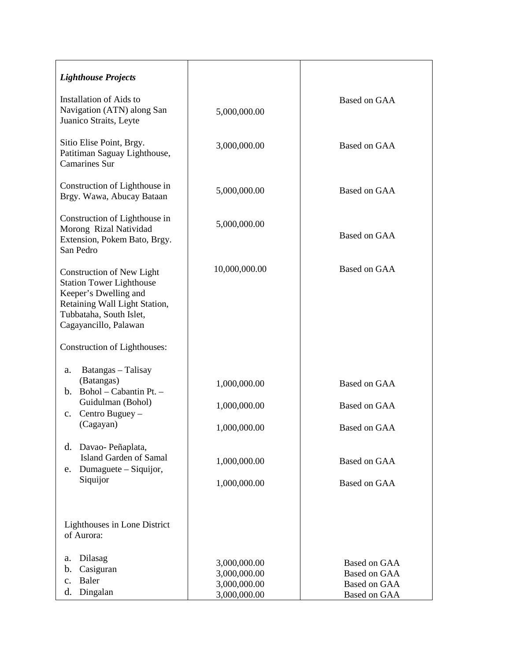| <b>Lighthouse Projects</b>                                                                                                                                                        |                                                              |                                                                                   |
|-----------------------------------------------------------------------------------------------------------------------------------------------------------------------------------|--------------------------------------------------------------|-----------------------------------------------------------------------------------|
| <b>Installation of Aids to</b><br>Navigation (ATN) along San<br>Juanico Straits, Leyte                                                                                            | 5,000,000.00                                                 | Based on GAA                                                                      |
| Sitio Elise Point, Brgy.<br>Patitiman Saguay Lighthouse,<br><b>Camarines Sur</b>                                                                                                  | 3,000,000.00                                                 | Based on GAA                                                                      |
| Construction of Lighthouse in<br>Brgy. Wawa, Abucay Bataan                                                                                                                        | 5,000,000.00                                                 | Based on GAA                                                                      |
| Construction of Lighthouse in<br>Morong Rizal Natividad<br>Extension, Pokem Bato, Brgy.<br>San Pedro                                                                              | 5,000,000.00                                                 | Based on GAA                                                                      |
| <b>Construction of New Light</b><br><b>Station Tower Lighthouse</b><br>Keeper's Dwelling and<br>Retaining Wall Light Station,<br>Tubbataha, South Islet,<br>Cagayancillo, Palawan | 10,000,000.00                                                | Based on GAA                                                                      |
| <b>Construction of Lighthouses:</b>                                                                                                                                               |                                                              |                                                                                   |
| Batangas - Talisay<br>a.<br>(Batangas)<br>b. Bohol - Cabantin Pt. -<br>Guidulman (Bohol)                                                                                          | 1,000,000.00<br>1,000,000.00                                 | <b>Based on GAA</b><br>Based on GAA                                               |
| Centro Buguey -<br>c.<br>(Cagayan)                                                                                                                                                | 1,000,000.00                                                 | <b>Based on GAA</b>                                                               |
| d. Davao-Peñaplata,<br>Island Garden of Samal<br>Dumaguete – Siquijor,<br>e.<br>Siquijor                                                                                          | 1,000,000.00<br>1,000,000.00                                 | <b>Based on GAA</b><br><b>Based on GAA</b>                                        |
| Lighthouses in Lone District<br>of Aurora:                                                                                                                                        |                                                              |                                                                                   |
| Dilasag<br>a.<br>Casiguran<br>b.<br>Baler<br>$\mathbf{c}$ .<br>Dingalan<br>d.                                                                                                     | 3,000,000.00<br>3,000,000.00<br>3,000,000.00<br>3,000,000.00 | Based on GAA<br><b>Based on GAA</b><br><b>Based on GAA</b><br><b>Based on GAA</b> |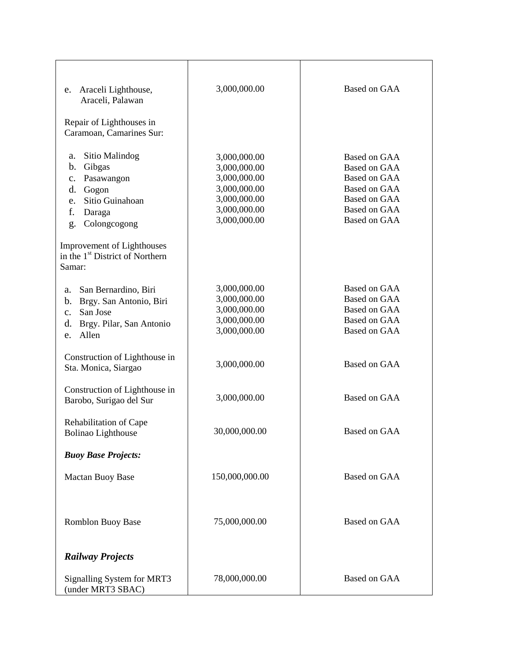| Araceli Lighthouse,<br>e.<br>Araceli, Palawan<br>Repair of Lighthouses in<br>Caramoan, Camarines Sur:                                            | 3,000,000.00                                                                                                 | Based on GAA                                                                                                                             |
|--------------------------------------------------------------------------------------------------------------------------------------------------|--------------------------------------------------------------------------------------------------------------|------------------------------------------------------------------------------------------------------------------------------------------|
| Sitio Malindog<br>а.<br>Gibgas<br>b.<br>c. Pasawangon<br>d. Gogon<br>Sitio Guinahoan<br>e.<br>f.<br>Daraga<br>g. Colongcogong                    | 3,000,000.00<br>3,000,000.00<br>3,000,000.00<br>3,000,000.00<br>3,000,000.00<br>3,000,000.00<br>3,000,000.00 | Based on GAA<br><b>Based on GAA</b><br><b>Based on GAA</b><br>Based on GAA<br>Based on GAA<br><b>Based on GAA</b><br><b>Based on GAA</b> |
| Improvement of Lighthouses<br>in the 1 <sup>st</sup> District of Northern<br>Samar:                                                              |                                                                                                              |                                                                                                                                          |
| San Bernardino, Biri<br>a.<br>Brgy. San Antonio, Biri<br>$\mathbf{b}$ .<br>San Jose<br>$c_{\cdot}$<br>Brgy. Pilar, San Antonio<br>d.<br>e. Allen | 3,000,000.00<br>3,000,000.00<br>3,000,000.00<br>3,000,000.00<br>3,000,000.00                                 | <b>Based on GAA</b><br>Based on GAA<br>Based on GAA<br><b>Based on GAA</b><br>Based on GAA                                               |
| Construction of Lighthouse in<br>Sta. Monica, Siargao                                                                                            | 3,000,000.00                                                                                                 | <b>Based on GAA</b>                                                                                                                      |
| Construction of Lighthouse in<br>Barobo, Surigao del Sur                                                                                         | 3,000,000.00                                                                                                 | <b>Based on GAA</b>                                                                                                                      |
| Rehabilitation of Cape<br><b>Bolinao Lighthouse</b>                                                                                              | 30,000,000.00                                                                                                | Based on GAA                                                                                                                             |
| <b>Buoy Base Projects:</b><br>Mactan Buoy Base                                                                                                   | 150,000,000.00                                                                                               | <b>Based on GAA</b>                                                                                                                      |
| <b>Romblon Buoy Base</b>                                                                                                                         | 75,000,000.00                                                                                                | Based on GAA                                                                                                                             |
| <b>Railway Projects</b>                                                                                                                          |                                                                                                              |                                                                                                                                          |
| Signalling System for MRT3<br>(under MRT3 SBAC)                                                                                                  | 78,000,000.00                                                                                                | <b>Based on GAA</b>                                                                                                                      |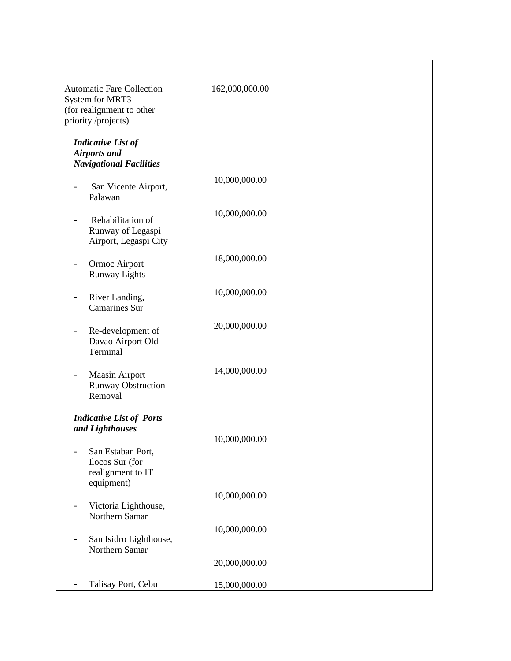| <b>Automatic Fare Collection</b><br>System for MRT3<br>(for realignment to other<br>priority/projects) | 162,000,000.00 |  |
|--------------------------------------------------------------------------------------------------------|----------------|--|
| <b>Indicative List of</b><br><b>Airports and</b><br><b>Navigational Facilities</b>                     |                |  |
| San Vicente Airport,<br>Palawan                                                                        | 10,000,000.00  |  |
| Rehabilitation of<br>Runway of Legaspi<br>Airport, Legaspi City                                        | 10,000,000.00  |  |
| Ormoc Airport<br><b>Runway Lights</b>                                                                  | 18,000,000.00  |  |
| River Landing,<br><b>Camarines Sur</b>                                                                 | 10,000,000.00  |  |
| Re-development of<br>$\overline{\phantom{a}}$<br>Davao Airport Old<br>Terminal                         | 20,000,000.00  |  |
| Maasin Airport<br><b>Runway Obstruction</b><br>Removal                                                 | 14,000,000.00  |  |
| <b>Indicative List of Ports</b><br>and Lighthouses                                                     | 10,000,000.00  |  |
| San Estaban Port,<br>Ilocos Sur (for<br>realignment to IT<br>equipment)                                |                |  |
| Victoria Lighthouse,<br>Northern Samar                                                                 | 10,000,000.00  |  |
| San Isidro Lighthouse,<br>Northern Samar                                                               | 10,000,000.00  |  |
|                                                                                                        | 20,000,000.00  |  |
| Talisay Port, Cebu                                                                                     | 15,000,000.00  |  |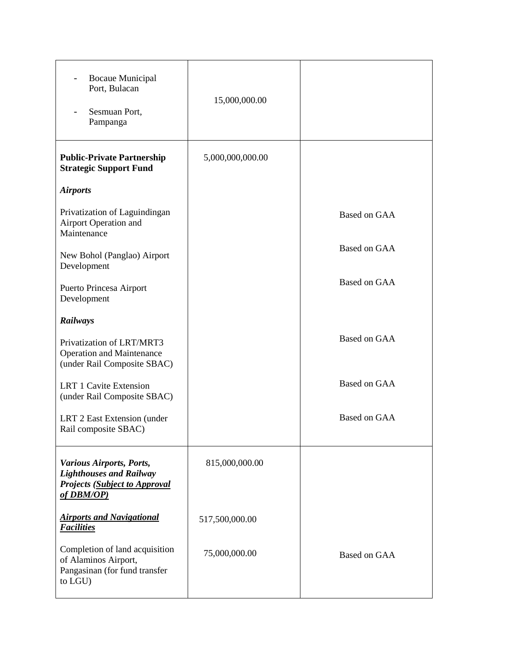| <b>Bocaue Municipal</b><br>Port, Bulacan<br>Sesmuan Port,<br>Pampanga                                            | 15,000,000.00    |                     |
|------------------------------------------------------------------------------------------------------------------|------------------|---------------------|
| <b>Public-Private Partnership</b><br><b>Strategic Support Fund</b>                                               | 5,000,000,000.00 |                     |
| <b>Airports</b>                                                                                                  |                  |                     |
| Privatization of Laguindingan<br><b>Airport Operation and</b><br>Maintenance                                     |                  | <b>Based on GAA</b> |
| New Bohol (Panglao) Airport<br>Development                                                                       |                  | <b>Based on GAA</b> |
| Puerto Princesa Airport<br>Development                                                                           |                  | Based on GAA        |
| Railways                                                                                                         |                  |                     |
| Privatization of LRT/MRT3<br><b>Operation and Maintenance</b><br>(under Rail Composite SBAC)                     |                  | Based on GAA        |
| <b>LRT 1 Cavite Extension</b><br>(under Rail Composite SBAC)                                                     |                  | <b>Based on GAA</b> |
| LRT 2 East Extension (under<br>Rail composite SBAC)                                                              |                  | <b>Based on GAA</b> |
| Various Airports, Ports,<br><b>Lighthouses and Railway</b><br><b>Projects (Subject to Approval</b><br>of DBM/OP) | 815,000,000.00   |                     |
| <b>Airports and Navigational</b><br><b>Facilities</b>                                                            | 517,500,000.00   |                     |
| Completion of land acquisition<br>of Alaminos Airport,<br>Pangasinan (for fund transfer<br>to LGU)               | 75,000,000.00    | Based on GAA        |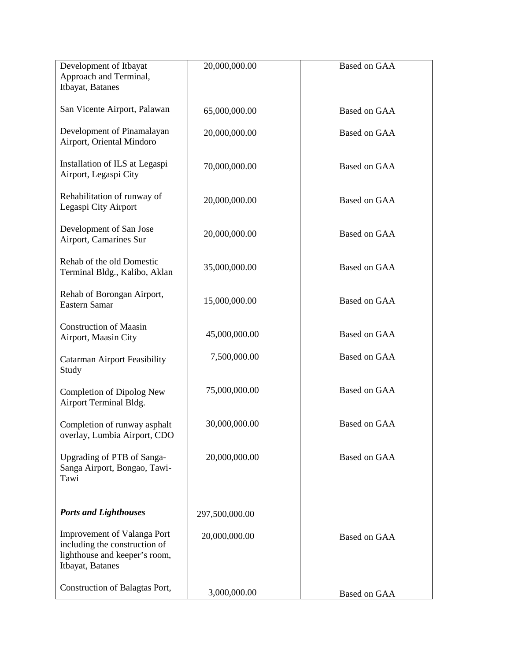| Development of Itbayat                                         | 20,000,000.00  | <b>Based on GAA</b> |
|----------------------------------------------------------------|----------------|---------------------|
| Approach and Terminal,                                         |                |                     |
| Itbayat, Batanes                                               |                |                     |
|                                                                |                |                     |
| San Vicente Airport, Palawan                                   | 65,000,000.00  | Based on GAA        |
|                                                                |                |                     |
| Development of Pinamalayan                                     | 20,000,000.00  | Based on GAA        |
| Airport, Oriental Mindoro                                      |                |                     |
|                                                                |                |                     |
| Installation of ILS at Legaspi                                 | 70,000,000.00  | <b>Based on GAA</b> |
| Airport, Legaspi City                                          |                |                     |
| Rehabilitation of runway of                                    |                |                     |
| Legaspi City Airport                                           | 20,000,000.00  | Based on GAA        |
|                                                                |                |                     |
| Development of San Jose                                        |                |                     |
| Airport, Camarines Sur                                         | 20,000,000.00  | Based on GAA        |
|                                                                |                |                     |
| Rehab of the old Domestic                                      | 35,000,000.00  | Based on GAA        |
| Terminal Bldg., Kalibo, Aklan                                  |                |                     |
|                                                                |                |                     |
| Rehab of Borongan Airport,                                     | 15,000,000.00  | Based on GAA        |
| Eastern Samar                                                  |                |                     |
| <b>Construction of Maasin</b>                                  |                |                     |
| Airport, Maasin City                                           | 45,000,000.00  | Based on GAA        |
|                                                                |                |                     |
| <b>Catarman Airport Feasibility</b>                            | 7,500,000.00   | <b>Based on GAA</b> |
| Study                                                          |                |                     |
|                                                                |                |                     |
| Completion of Dipolog New                                      | 75,000,000.00  | Based on GAA        |
| Airport Terminal Bldg.                                         |                |                     |
|                                                                |                | <b>Based on GAA</b> |
| Completion of runway asphalt<br>overlay, Lumbia Airport, CDO   | 30,000,000.00  |                     |
|                                                                |                |                     |
| Upgrading of PTB of Sanga-                                     | 20,000,000.00  | <b>Based on GAA</b> |
| Sanga Airport, Bongao, Tawi-                                   |                |                     |
| Tawi                                                           |                |                     |
|                                                                |                |                     |
|                                                                |                |                     |
| <b>Ports and Lighthouses</b>                                   | 297,500,000.00 |                     |
|                                                                |                |                     |
| <b>Improvement of Valanga Port</b>                             | 20,000,000.00  | <b>Based on GAA</b> |
| including the construction of<br>lighthouse and keeper's room, |                |                     |
| Itbayat, Batanes                                               |                |                     |
|                                                                |                |                     |
| Construction of Balagtas Port,                                 |                |                     |
|                                                                | 3,000,000.00   | Based on GAA        |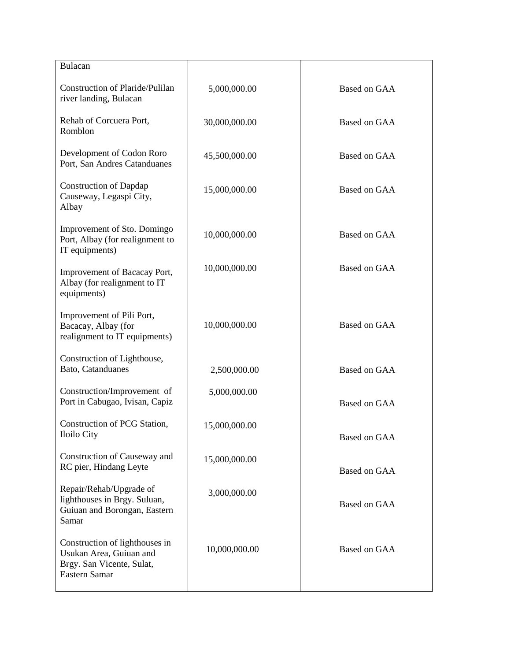| Bulacan                                                                                                 |               |                     |
|---------------------------------------------------------------------------------------------------------|---------------|---------------------|
| <b>Construction of Plaride/Pulilan</b><br>river landing, Bulacan                                        | 5,000,000.00  | Based on GAA        |
| Rehab of Corcuera Port,<br>Romblon                                                                      | 30,000,000.00 | Based on GAA        |
| Development of Codon Roro<br>Port, San Andres Catanduanes                                               | 45,500,000.00 | Based on GAA        |
| <b>Construction of Dapdap</b><br>Causeway, Legaspi City,<br>Albay                                       | 15,000,000.00 | Based on GAA        |
| Improvement of Sto. Domingo<br>Port, Albay (for realignment to<br>IT equipments)                        | 10,000,000.00 | Based on GAA        |
| Improvement of Bacacay Port,<br>Albay (for realignment to IT<br>equipments)                             | 10,000,000.00 | Based on GAA        |
| Improvement of Pili Port,<br>Bacacay, Albay (for<br>realignment to IT equipments)                       | 10,000,000.00 | Based on GAA        |
| Construction of Lighthouse,<br>Bato, Catanduanes                                                        | 2,500,000.00  | Based on GAA        |
| Construction/Improvement of<br>Port in Cabugao, Ivisan, Capiz                                           | 5,000,000.00  | Based on GAA        |
| Construction of PCG Station,<br>Iloilo City                                                             | 15,000,000.00 | <b>Based on GAA</b> |
| Construction of Causeway and<br>RC pier, Hindang Leyte                                                  | 15,000,000.00 | Based on GAA        |
| Repair/Rehab/Upgrade of<br>lighthouses in Brgy. Suluan,<br>Guiuan and Borongan, Eastern<br>Samar        | 3,000,000.00  | Based on GAA        |
| Construction of lighthouses in<br>Usukan Area, Guiuan and<br>Brgy. San Vicente, Sulat,<br>Eastern Samar | 10,000,000.00 | Based on GAA        |